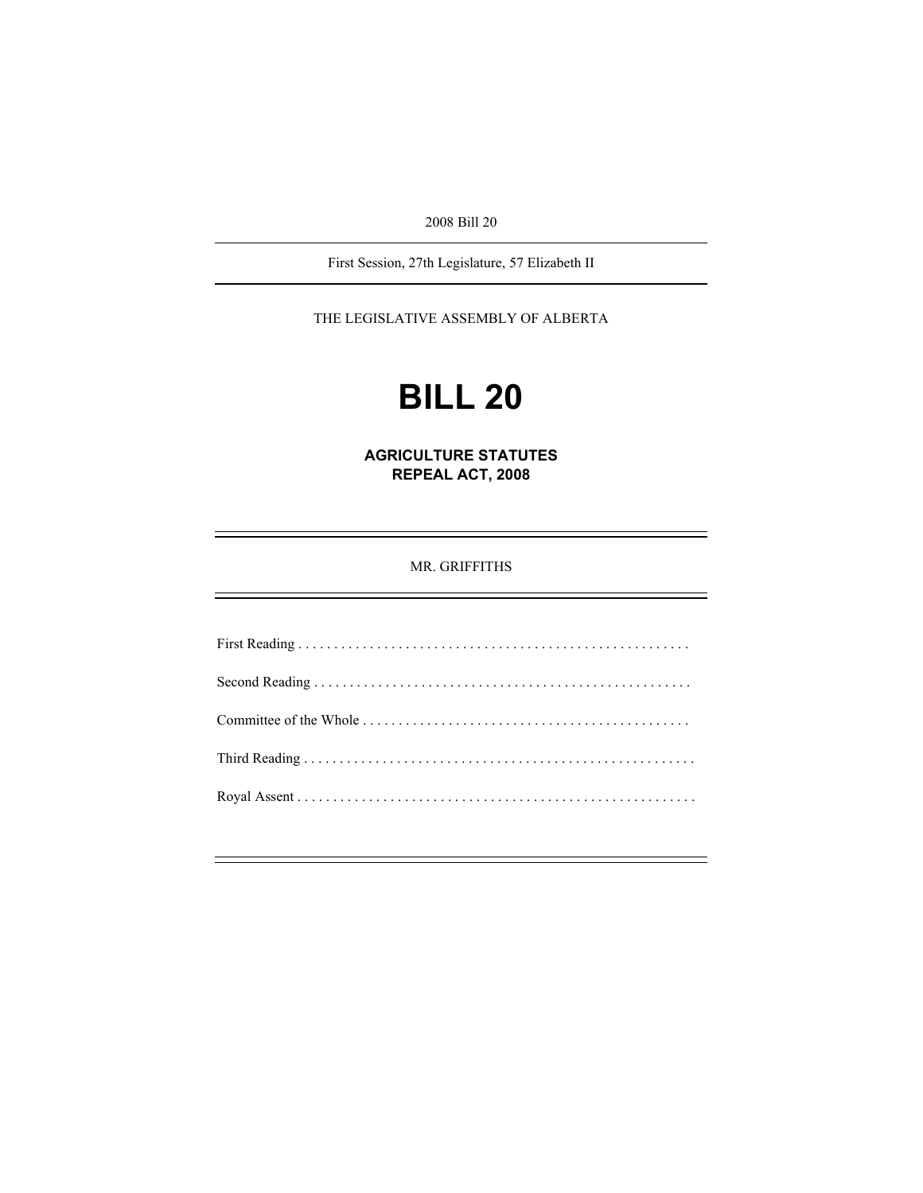2008 Bill 20

First Session, 27th Legislature, 57 Elizabeth II

THE LEGISLATIVE ASSEMBLY OF ALBERTA

# **BILL 20**

**AGRICULTURE STATUTES REPEAL ACT, 2008** 

MR. GRIFFITHS

First Reading . . . . . . . . . . . . . . . . . . . . . . . . . . . . . . . . . . . . . . . . . . . . . . . . . . . . . . . Second Reading . . . . . . . . . . . . . . . . . . . . . . . . . . . . . . . . . . . . . . . . . . . . . . . . . . . . . Committee of the Whole . . . . . . . . . . . . . . . . . . . . . . . . . . . . . . . . . . . . . . . . . . . . . . Third Reading . . . . . . . . . . . . . . . . . . . . . . . . . . . . . . . . . . . . . . . . . . . . . . . . . . . . . . . Royal Assent . . . . . . . . . . . . . . . . . . . . . . . . . . . . . . . . . . . . . . . . . . . . . . . . . . . . . . . .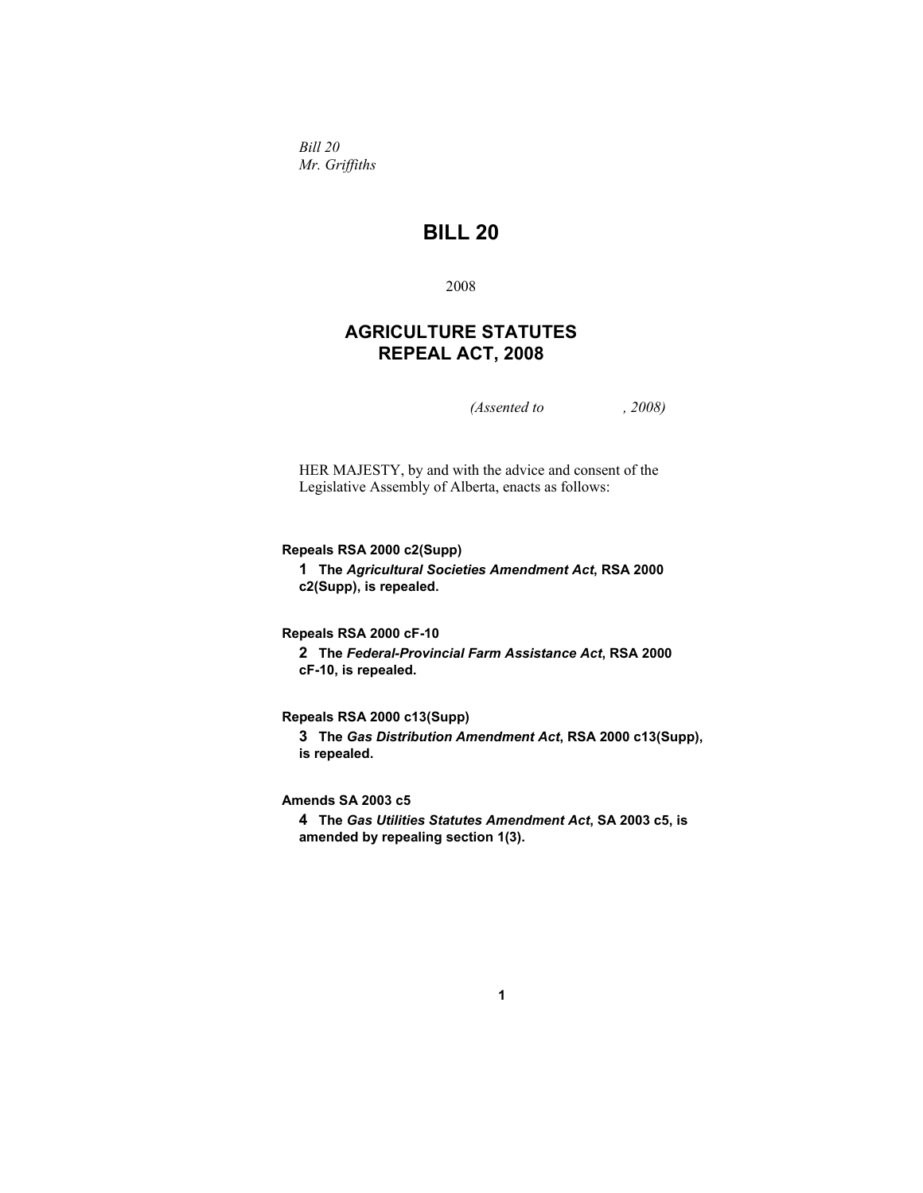*Bill 20 Mr. Griffiths* 

## **BILL 20**

2008

## **AGRICULTURE STATUTES REPEAL ACT, 2008**

*(Assented to , 2008)* 

HER MAJESTY, by and with the advice and consent of the Legislative Assembly of Alberta, enacts as follows:

**Repeals RSA 2000 c2(Supp)** 

**1 The** *Agricultural Societies Amendment Act***, RSA 2000 c2(Supp), is repealed.** 

**Repeals RSA 2000 cF-10** 

**2 The** *Federal-Provincial Farm Assistance Act***, RSA 2000 cF-10, is repealed.** 

**Repeals RSA 2000 c13(Supp)** 

**3 The** *Gas Distribution Amendment Act***, RSA 2000 c13(Supp), is repealed.** 

**Amends SA 2003 c5** 

**4 The** *Gas Utilities Statutes Amendment Act***, SA 2003 c5, is amended by repealing section 1(3).**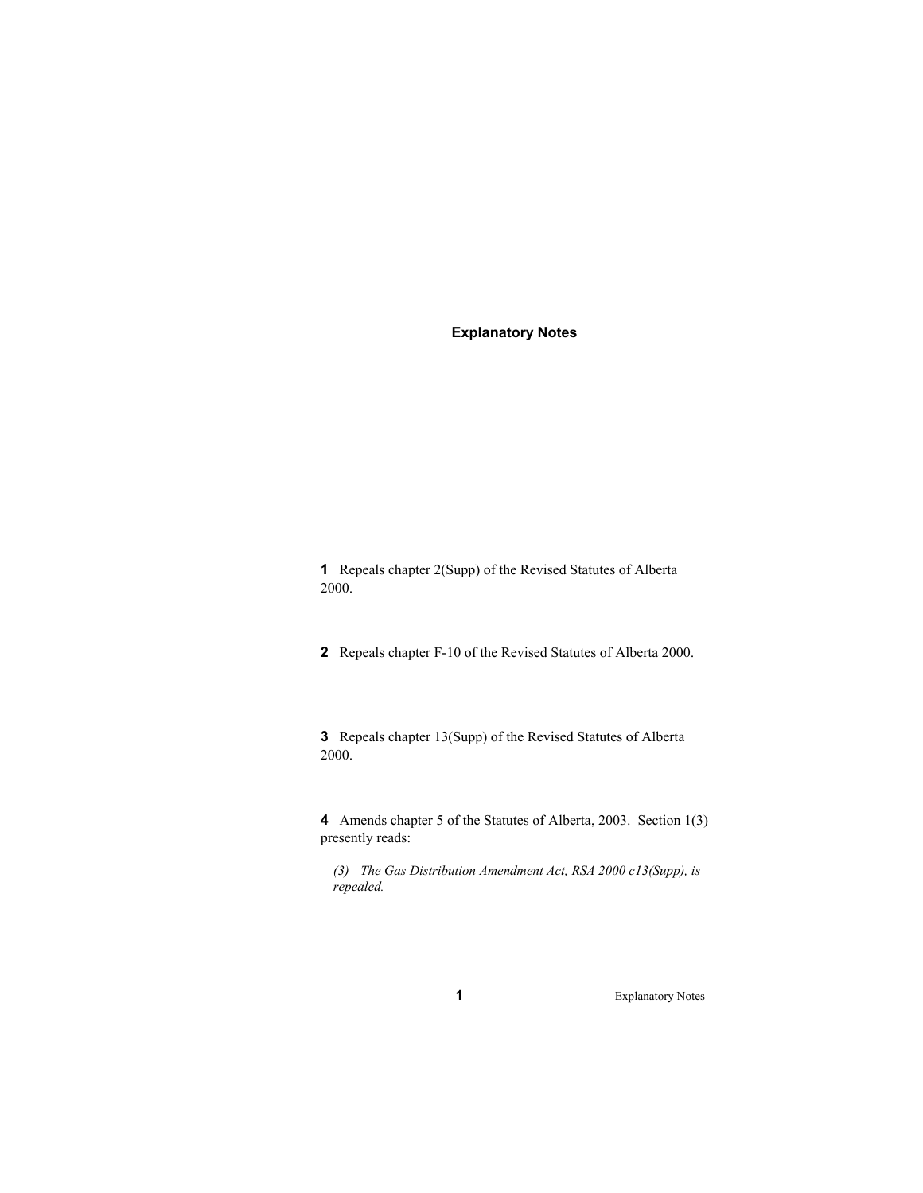### **Explanatory Notes**

**1** Repeals chapter 2(Supp) of the Revised Statutes of Alberta 2000.

**2** Repeals chapter F-10 of the Revised Statutes of Alberta 2000.

**3** Repeals chapter 13(Supp) of the Revised Statutes of Alberta 2000.

**4** Amends chapter 5 of the Statutes of Alberta, 2003. Section 1(3) presently reads:

*(3) The Gas Distribution Amendment Act, RSA 2000 c13(Supp), is repealed.* 

**1** Explanatory Notes